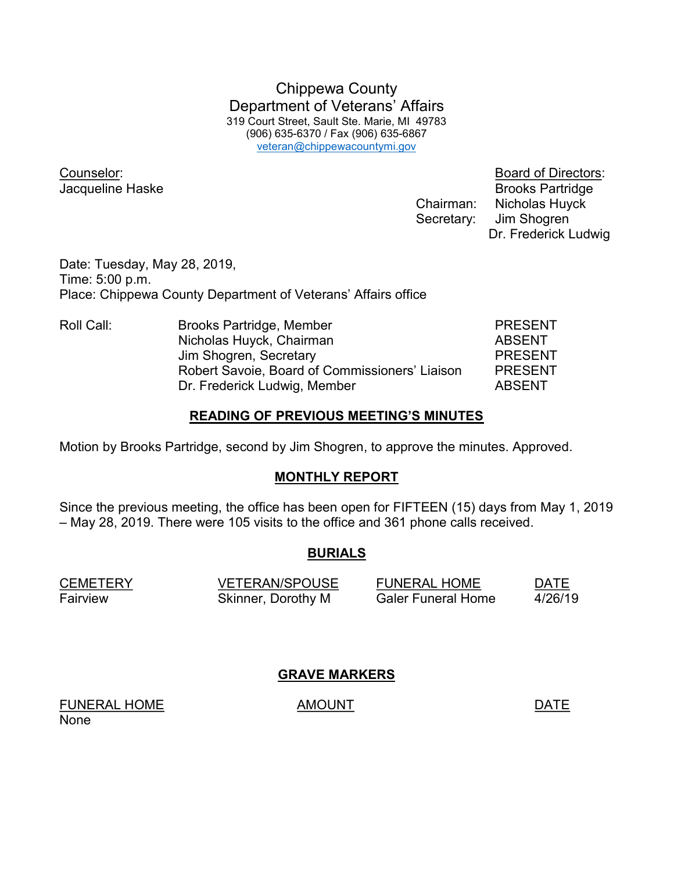Chippewa County Department of Veterans' Affairs 319 Court Street, Sault Ste. Marie, MI 49783 (906) 635-6370 / Fax (906) 635-6867 veteran@chippewacountymi.gov

**Jacqueline Haske** Brooks Partridge Chairman: Nicholas Huyck Secretary: Jim Shogren

Counselor: Board of Directors: Dr. Frederick Ludwig

Date: Tuesday, May 28, 2019, Time: 5:00 p.m. Place: Chippewa County Department of Veterans' Affairs office

Roll Call: Brooks Partridge, Member PRESENT Nicholas Huyck, Chairman **ABSENT** Jim Shogren, Secretary **PRESENT**  Robert Savoie, Board of Commissioners' Liaison PRESENT Dr. Frederick Ludwig, Member ABSENT

## READING OF PREVIOUS MEETING'S MINUTES

Motion by Brooks Partridge, second by Jim Shogren, to approve the minutes. Approved.

## MONTHLY REPORT

Since the previous meeting, the office has been open for FIFTEEN (15) days from May 1, 2019 – May 28, 2019. There were 105 visits to the office and 361 phone calls received.

# BURIALS

CEMETERY VETERAN/SPOUSE FUNERAL HOME DATE Fairview Skinner, Dorothy M Galer Funeral Home 4/26/19

GRAVE MARKERS

FUNERAL HOME AMOUNT AMOUNT None